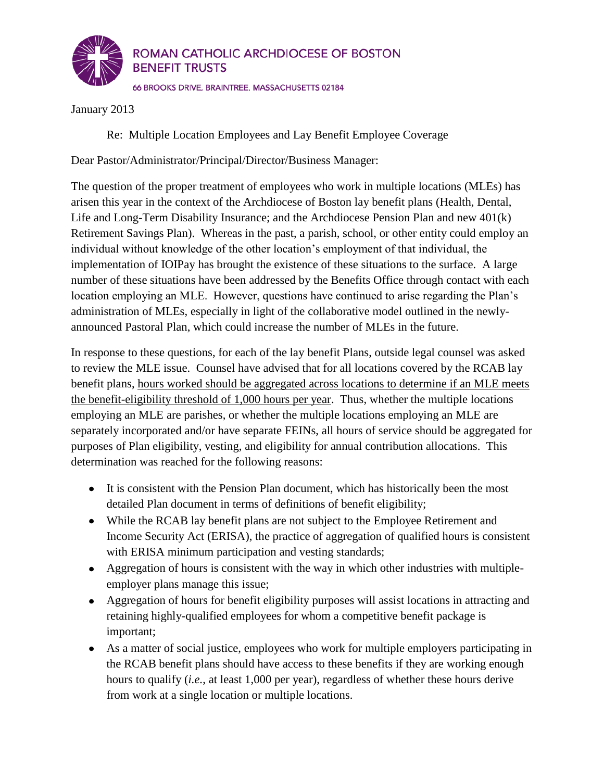

January 2013

Re: Multiple Location Employees and Lay Benefit Employee Coverage

Dear Pastor/Administrator/Principal/Director/Business Manager:

The question of the proper treatment of employees who work in multiple locations (MLEs) has arisen this year in the context of the Archdiocese of Boston lay benefit plans (Health, Dental, Life and Long-Term Disability Insurance; and the Archdiocese Pension Plan and new 401(k) Retirement Savings Plan). Whereas in the past, a parish, school, or other entity could employ an individual without knowledge of the other location's employment of that individual, the implementation of IOIPay has brought the existence of these situations to the surface. A large number of these situations have been addressed by the Benefits Office through contact with each location employing an MLE. However, questions have continued to arise regarding the Plan's administration of MLEs, especially in light of the collaborative model outlined in the newlyannounced Pastoral Plan, which could increase the number of MLEs in the future.

In response to these questions, for each of the lay benefit Plans, outside legal counsel was asked to review the MLE issue. Counsel have advised that for all locations covered by the RCAB lay benefit plans, hours worked should be aggregated across locations to determine if an MLE meets the benefit-eligibility threshold of 1,000 hours per year. Thus, whether the multiple locations employing an MLE are parishes, or whether the multiple locations employing an MLE are separately incorporated and/or have separate FEINs, all hours of service should be aggregated for purposes of Plan eligibility, vesting, and eligibility for annual contribution allocations. This determination was reached for the following reasons:

- It is consistent with the Pension Plan document, which has historically been the most detailed Plan document in terms of definitions of benefit eligibility;
- While the RCAB lay benefit plans are not subject to the Employee Retirement and Income Security Act (ERISA), the practice of aggregation of qualified hours is consistent with ERISA minimum participation and vesting standards;
- Aggregation of hours is consistent with the way in which other industries with multipleemployer plans manage this issue;
- Aggregation of hours for benefit eligibility purposes will assist locations in attracting and retaining highly-qualified employees for whom a competitive benefit package is important;
- As a matter of social justice, employees who work for multiple employers participating in the RCAB benefit plans should have access to these benefits if they are working enough hours to qualify (*i.e.*, at least 1,000 per year), regardless of whether these hours derive from work at a single location or multiple locations.